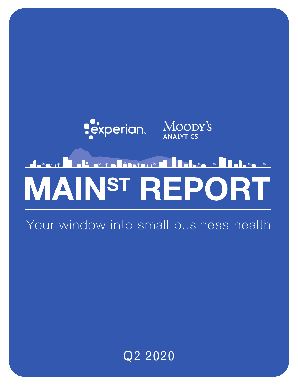

# <u>Leiletta Lincton till Debitant Leilte t</u> **MAINST REPORT**

Your window into small business health

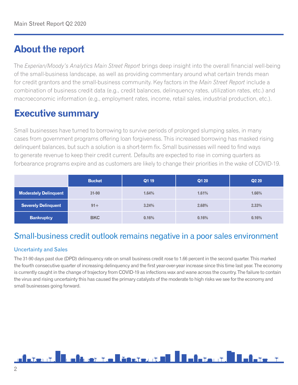# **About the report**

The *Experian/Moody's Analytics Main Street Report* brings deep insight into the overall financial well-being of the small-business landscape, as well as providing commentary around what certain trends mean for credit grantors and the small-business community. Key factors in the *Main Street Report* include a combination of business credit data (e.g., credit balances, delinquency rates, utilization rates, etc.) and macroeconomic information (e.g., employment rates, income, retail sales, industrial production, etc.).

# **Executive summary**

Small businesses have turned to borrowing to survive periods of prolonged slumping sales, in many cases from government programs offering loan forgiveness. This increased borrowing has masked rising delinquent balances, but such a solution is a short-term fix. Small businesses will need to find ways to generate revenue to keep their credit current. Defaults are expected to rise in coming quarters as forbearance programs expire and as customers are likely to change their priorities in the wake of COVID-19.

|                              | <b>Bucket</b> | Q1 19 | Q1 20 | <b>Q220</b> |
|------------------------------|---------------|-------|-------|-------------|
| <b>Moderately Delinquent</b> | $31 - 90$     | 1.64% | 1.61% | 1.66%       |
| <b>Severely Delinquent</b>   | $91 +$        | 3.24% | 2.68% | 2.33%       |
| <b>Bankruptcy</b>            | <b>BKC</b>    | 0.16% | 0.16% | 0.16%       |

## Small-business credit outlook remains negative in a poor sales environment

## Uncertainty and Sales

The 31-90 days past due (DPD) delinquency rate on small business credit rose to 1.66 percent in the second quarter. This marked the fourth consecutive quarter of increasing delinquency and the first year-over-year increase since this time last year. The economy is currently caught in the change of trajectory from COVID-19 as infections wax and wane across the country. The failure to contain the virus and rising uncertainty this has caused the primary catalysts of the moderate to high risks we see for the economy and small businesses going forward.

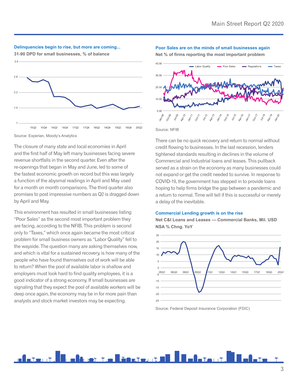#### **Delinquencies begin to rise, but more are coming...**





#### Source: Experian, Moody's Analytics

The closure of many state and local economies in April and the first half of May left many businesses facing severe revenue shortfalls in the second quarter. Even after the re-openings that began in May and June, led to some of the fastest economic growth on record but this was largely a function of the abysmal readings in April and May used for a month on month comparisons. The third quarter also promises to post impressive numbers as Q2 is dragged down by April and May.

This environment has resulted in small businesses listing "Poor Sales" as the second most important problem they are facing, according to the NFIB. This problem is second only to "Taxes," which once again became the most critical problem for small business owners as "Labor Quality" fell to the wayside. The question many are asking themselves now, and which is vital for a sustained recovery, is how many of the people who have found themselves out of work will be able to return? When the pool of available labor is shallow and employers must look hard to find quality employees, it is a good indicator of a strong economy. If small businesses are signaling that they expect the pool of available workers will be deep once again, the economy may be in for more pain than analysts and stock market investors may be expecting.

#### **Poor Sales are on the minds of small businesses again**

**Net % of firms reporting the most important problem**



#### Source: NFIB

There can be no quick recovery and return to normal without credit flowing to businesses. In the last recession, lenders tightened standards resulting in declines in the volume of Commercial and Industrial loans and leases. This pullback served as a strain on the economy as many businesses could not expand or get the credit needed to survive. In response to COVID-19, the government has stepped in to provide loans hoping to help firms bridge the gap between a pandemic and a return to normal. Time will tell if this is successful or merely a delay of the inevitable.

#### **Commercial Lending growth is on the rise**

**Net C&I Loans and Leases — Commercial Banks, Mil. USD NSA % Chng. YoY**



Source: Federal Deposit Insurance Corporation (FDIC)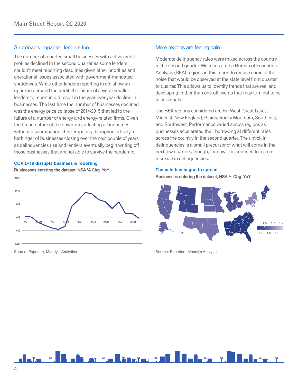## Shutdowns impacted lenders too

The number of reported small businesses with active credit profiles declined in the second quarter as some lenders couldn't meet reporting deadlines given other priorities and operational issues associated with government-mandated shutdowns. While other lenders reporting in did show an uptick in demand for credit, the failure of several smaller lenders to report in did result in the year-over-year decline in businesses. The last time the number of businesses declined was the energy price collapse of 2014-2015 that led to the failure of a number of energy and energy-related firms. Given the broad nature of the downturn, affecting all industries without discrimination, this temporary disruption is likely a harbinger of businesses closing over the next couple of years as delinquencies rise and lenders eventually begin writing off those businesses that are not able to survive the pandemic.

#### **COVID-19 disrupts business & reporting**

**Businesses entering the dataset, NSA % Chg. YoY**



Source: Experian, Moody's Analytics

### More regions are feeling pain

Moderate delinquency rates were mixed across the country in the second quarter. We focus on the Bureau of Economic Analysis (BEA) regions in this report to reduce some of the noise that would be observed at the state level from quarter to quarter. This allows us to identify trends that are real and developing, rather than one-off events that may turn out to be false signals.

The BEA regions considered are Far West, Great Lakes, Mideast, New England, Plains, Rocky Mountain, Southeast, and Southwest. Performance varied across regions as businesses accelerated their borrowing at different rates across the country in the second quarter. The uptick in delinquencies is a small precursor of what will come in the next few quarters, though, for now, it is confined to a small increase in delinquencies.

#### **The pain has begun to spread**

**Businesses entering the dataset, NSA % Chg. YoY**



Source: Experian, Moody's Analytics

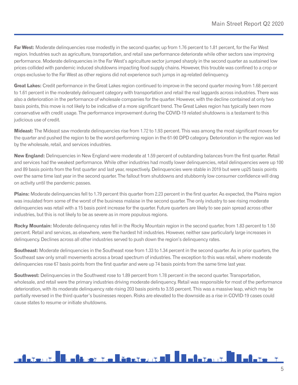**Far West:** Moderate delinguencies rose modestly in the second quarter, up from 1.76 percent to 1.81 percent, for the Far West region. Industries such as agriculture, transportation, and retail saw performance deteriorate while other sectors saw improving performance. Moderate delinquencies in the Far West's agriculture sector jumped sharply in the second quarter as sustained low prices collided with pandemic induced shutdowns impacting food supply chains. However, this trouble was confined to a crop or crops exclusive to the Far West as other regions did not experience such jumps in ag-related delinquency.

**Great Lakes:** Credit performance in the Great Lakes region continued to improve in the second quarter moving from 1.68 percent to 1.61 percent in the moderately delinquent category with transportation and retail the real laggards across industries. There was also a deterioration in the performance of wholesale companies for the quarter. However, with the decline contained at only two basis points, this move is not likely to be indicative of a more significant trend. The Great Lakes region has typically been more conservative with credit usage. The performance improvement during the COVID-19 related shutdowns is a testament to this judicious use of credit.

**Mideast:** The Mideast saw moderate delinquencies rise from 1.72 to 1.93 percent. This was among the most significant moves for the quarter and pushed the region to be the worst-performing region in the 61-90 DPD category. Deterioration in the region was led by the wholesale, retail, and services industries.

**New England:** Delinquencies in New England were moderate at 1.59 percent of outstanding balances from the first quarter. Retail and services had the weakest performance. While other industries had mostly lower delinquencies, retail delinquencies were up 100 and 89 basis points from the first quarter and last year, respectively. Delinquencies were stable in 2019 but were up25 basis points over the same time last year in the second quarter. The fallout from shutdowns and stubbornly low consumer confidence will drag on activity until the pandemic passes.

**Plains:** Moderate delinquencies fell to 1.79 percent this quarter from 2.23 percent in the first quarter. As expected, the Plains region was insulated from some of the worst of the business malaise in the second quarter. The only industry to see rising moderate delinquencies was retail with a 15 basis point increase for the quarter. Future quarters are likely to see pain spread across other industries, but this is not likely to be as severe as in more populous regions.

**Rocky Mountain:** Moderate delinquency rates fell in the Rocky Mountain region in the second quarter, from 1.83 percent to 1.50 percent. Retail and services, as elsewhere, were the hardest hit industries. However, neither saw particularly large increases in delinquency. Declines across all other industries served to push down the region's delinquency rates.

**Southeast:** Moderate delinquencies in the Southeast rose from 1.33 to 1.34 percent in the second quarter. As in prior quarters, the Southeast saw only small movements across a broad spectrum of industries. The exception to this was retail, where moderate delinquencies rose 67 basis points from the first quarter and were up 74 basis points from the same time last year.

**Southwest:** Delinquencies in the Southwest rose to 1.89 percent from 1.78 percent in the second quarter. Transportation, wholesale, and retail were the primary industries driving moderate delinquency. Retail was responsible for most of the performance deterioration, with its moderate delinquency rate rising 203 basis points to 3.55 percent. This was a massive leap, which may be partially reversed in the third quarter's businesses reopen. Risks are elevated to the downside as a rise in COVID-19 cases could cause states to resume or initiate shutdowns.

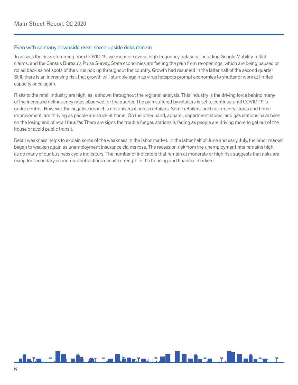## Even with so many downside risks, some upside risks remain

To assess the risks stemming from COVID-19, we monitor several high-frequency datasets, including Google Mobility, initial claims, and the Census Bureau's Pulse Survey. State economies are feeling the pain from re-openings, which are being paused or rolled back as hot spots of the virus pop up throughout the country. Growth had resumed in the latter half of the second quarter. Still, there is an increasing risk that growth will stumble again as virus hotspots prompt economies to shutter or work at limited capacity once again.

Risks to the retail industry are high, as is shown throughout the regional analysis. This industry is the driving force behind many of the increased delinquency rates observed for the quarter. The pain suffered by retailers is set to continue until COVID-19 is under control. However, the negative impact is not universal across retailers. Some retailers, such as grocery stores and home improvement, are thriving as people are stuck at home. On the other hand, apparel, department stores, and gas stations have been on the losing end of retail thus far. There are signs the trouble for gas stations is fading as people are driving more to get out of the house or avoid public transit.

Retail weakness helps to explain some of the weakness in the labor market. In the latter half of June and early July, the labor market began to weaken again as unemployment insurance claims rose. The recession risk from the unemployment rate remains high, as do many of our business cycle indicators. The number of indicators that remain at moderate or high risk suggests that risks are rising for secondary economic contractions despite strength in the housing and financial markets.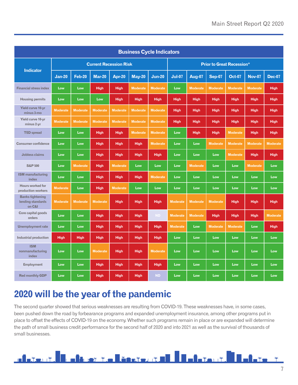| <b>Business Cycle Indicators</b>                       |                               |                 |                 |                 |                                  |                 |                 |                 |                 |                 |                 |                 |
|--------------------------------------------------------|-------------------------------|-----------------|-----------------|-----------------|----------------------------------|-----------------|-----------------|-----------------|-----------------|-----------------|-----------------|-----------------|
| <b>Indicator</b>                                       | <b>Current Recession Risk</b> |                 |                 |                 | <b>Prior to Great Recession*</b> |                 |                 |                 |                 |                 |                 |                 |
|                                                        | <b>Jan-20</b>                 | <b>Feb-20</b>   | <b>Mar-20</b>   | Apr-20          | <b>May-20</b>                    | <b>Jun-20</b>   | <b>Jul-07</b>   | Aug-07          | <b>Sep-07</b>   | <b>Oct-07</b>   | <b>Nov-07</b>   | <b>Dec-07</b>   |
| <b>Financial stress index</b>                          | Low                           | Low             | <b>High</b>     | <b>High</b>     | <b>Moderate</b>                  | <b>Moderate</b> | Low             | <b>Moderate</b> | <b>Moderate</b> | <b>Moderate</b> | <b>Moderate</b> | <b>High</b>     |
| <b>Housing permits</b>                                 | Low                           | Low             | Low             | <b>High</b>     | <b>High</b>                      | <b>High</b>     | <b>High</b>     | <b>High</b>     | <b>High</b>     | <b>High</b>     | <b>High</b>     | <b>High</b>     |
| Yield curve 10-yr<br>minus 3-mo                        | <b>Moderate</b>               | <b>Moderate</b> | <b>Moderate</b> | <b>Moderate</b> | <b>Moderate</b>                  | <b>Moderate</b> | <b>High</b>     | <b>High</b>     | <b>High</b>     | <b>High</b>     | <b>High</b>     | <b>High</b>     |
| Yield curve 10-yr<br>minus 2-yr                        | <b>Moderate</b>               | <b>Moderate</b> | <b>Moderate</b> | <b>Moderate</b> | <b>Moderate</b>                  | <b>Moderate</b> | High            | <b>High</b>     | <b>High</b>     | <b>High</b>     | <b>High</b>     | <b>High</b>     |
| <b>TED</b> spread                                      | Low                           | Low             | <b>High</b>     | <b>High</b>     | <b>Moderate</b>                  | <b>Moderate</b> | Low             | <b>High</b>     | <b>High</b>     | <b>Moderate</b> | <b>High</b>     | <b>High</b>     |
| <b>Consumer confidence</b>                             | Low                           | Low             | <b>High</b>     | <b>High</b>     | <b>High</b>                      | <b>Moderate</b> | Low             | Low             | <b>Moderate</b> | <b>Moderate</b> | <b>Moderate</b> | <b>Moderate</b> |
| <b>Jobless claims</b>                                  | Low                           | Low             | <b>High</b>     | <b>High</b>     | High                             | <b>High</b>     | Low             | Low             | Low             | <b>Moderate</b> | <b>High</b>     | <b>High</b>     |
| <b>S&amp;P 500</b>                                     | Low                           | <b>Moderate</b> | <b>High</b>     | <b>Moderate</b> | Low                              | Low             | Low             | <b>Moderate</b> | Low             | Low             | <b>Moderate</b> | Low             |
| <b>ISM</b> manufacturing<br>index                      | Low                           | Low             | <b>High</b>     | <b>High</b>     | <b>High</b>                      | <b>Moderate</b> | Low             | Low             | Low             | Low             | Low             | Low             |
| <b>Hours worked for</b><br>production workers          | <b>Moderate</b>               | Low             | <b>High</b>     | <b>Moderate</b> | Low                              | Low             | Low             | Low             | Low             | Low             | Low             | Low             |
| <b>Banks tightening</b><br>lending standards<br>on C&I | <b>Moderate</b>               | <b>Moderate</b> | <b>Moderate</b> | <b>High</b>     | <b>High</b>                      | <b>High</b>     | <b>Moderate</b> | <b>Moderate</b> | <b>Moderate</b> | <b>High</b>     | <b>High</b>     | <b>High</b>     |
| Core capital goods<br>orders                           | Low                           | Low             | <b>High</b>     | <b>High</b>     | <b>High</b>                      | <b>ND</b>       | <b>Moderate</b> | <b>Moderate</b> | <b>High</b>     | <b>High</b>     | <b>High</b>     | <b>Moderate</b> |
| <b>Unemployment rate</b>                               | Low                           | Low             | <b>High</b>     | <b>High</b>     | <b>High</b>                      | <b>High</b>     | <b>Moderate</b> | Low             | <b>Moderate</b> | <b>Moderate</b> | Low             | <b>High</b>     |
| <b>Industrial production</b>                           | <b>High</b>                   | <b>High</b>     | <b>High</b>     | <b>High</b>     | <b>High</b>                      | <b>High</b>     | Low             | Low             | Low             | Low             | Low             | Low             |
| <b>ISM</b><br>nonmanufacturing<br>index                | Low                           | Low             | <b>Moderate</b> | <b>High</b>     | <b>High</b>                      | <b>Moderate</b> | Low             | Low             | Low             | Low             | Low             | Low             |
| <b>Employment</b>                                      | Low                           | Low             | <b>High</b>     | <b>High</b>     | <b>High</b>                      | <b>High</b>     | Low             | Low             | Low             | Low             | Low             | Low             |
| <b>Red monthly GDP</b>                                 | Low                           | Low             | <b>High</b>     | <b>High</b>     | <b>High</b>                      | <b>ND</b>       | Low             | Low             | Low             | Low             | Low             | Low             |

# **2020 will be the year of the pandemic**

The second quarter showed that serious weaknesses are resulting from COVID-19. These weaknesses have, in some cases, been pushed down the road by forbearance programs and expanded unemployment insurance, among other programs put in place to offset the effects of COVID-19 on the economy. Whether such programs remain in place or are expanded will determine the path of small business credit performance for the second half of 2020 and into 2021 as well as the survival of thousands of small businesses.